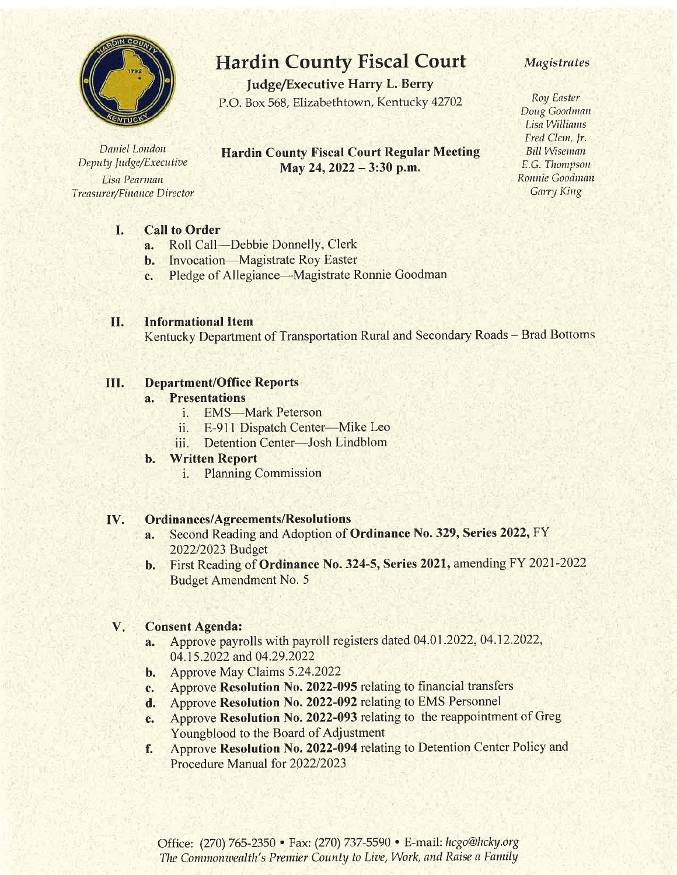

Daniel London Deputy Judge/Executive Lisa Pearman **Treasurer/Finance Director** 

# **Hardin County Fiscal Court**

**Judge/Executive Harry L. Berry** P.O. Box 568, Elizabethtown, Kentucky 42702

## **Hardin County Fiscal Court Regular Meeting** May 24, 2022 - 3:30 p.m.

### **Magistrates**

Roy Easter Doug Goodman Lisa Williams Fred Clem, Jr. **Bill Wiseman** E.G. Thompson Ronnie Goodman Garry King

#### I. **Call to Order**

- Roll Call—Debbie Donnelly, Clerk  $a_{\cdot}$
- **b.** Invocation—Magistrate Roy Easter
- Pledge of Allegiance—Magistrate Ronnie Goodman c.

#### **Informational Item** II.

Kentucky Department of Transportation Rural and Secondary Roads - Brad Bottoms

#### **Department/Office Reports** III.

#### **Presentations**  $a<sub>z</sub>$

- i. EMS-Mark Peterson
- E-911 Dispatch Center—Mike Leo ii.
- Detention Center-Josh Lindblom iii.

#### **Written Report** b.

**Planning Commission** i.

#### **Ordinances/Agreements/Resolutions** IV.

- Second Reading and Adoption of Ordinance No. 329, Series 2022, FY a. 2022/2023 Budget
- **b.** First Reading of **Ordinance No. 324-5, Series 2021**, amending FY 2021-2022 **Budget Amendment No. 5**

#### **Consent Agenda:** V.

- Approve payrolls with payroll registers dated 04.01.2022, 04.12.2022,  $a_{\cdot}$ 04.15.2022 and 04.29.2022
- **b.** Approve May Claims 5.24.2022
- Approve Resolution No. 2022-095 relating to financial transfers c.
- d. Approve Resolution No. 2022-092 relating to EMS Personnel
- Approve Resolution No. 2022-093 relating to the reappointment of Greg e. Youngblood to the Board of Adjustment
- Approve Resolution No. 2022-094 relating to Detention Center Policy and f. Procedure Manual for 2022/2023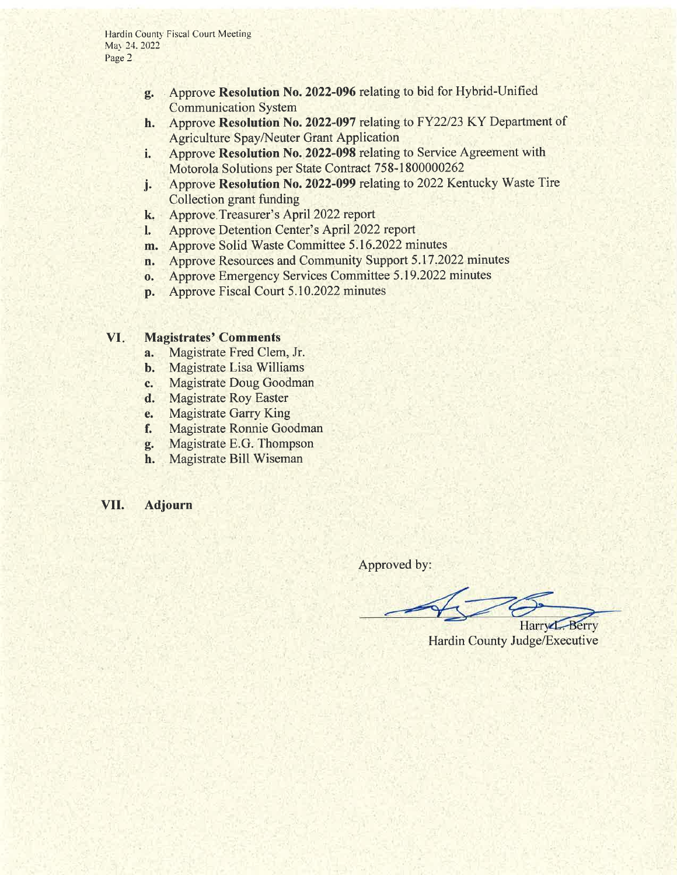- g. . Approve Resolution No. 2022-096 relating to bid for Hybrid-Unified Communication System
- h. Approve Resolution No. 2022-097 relating to FY22/23 KY Department of Agriculture Spay/Neuter Grant Application
- i. Approve Resolution No. 2022-098 relating to Service Agreement with Motorola Solutions per State Contract 758-1800000262
- j. Approve Resolution No. 2022-099 relating to 2022 Kentucky Waste Tire Collection grant funding
- k. Approve Treasurer's April 2022 report
- l. Approve Detention Center's April2022 report
- m. Approve Solid Waste Committee 5.16.2022 minutes
- n. Approve Resources and Community Support 5.17.2022 minutes
- o. Approve Emergency Services Committee 5.19.2022 minutes
- p. Approve Fiscal Court 5.10.2022 minutes

#### VI. Magistrates' Comments

- a. Magistrate Fred Clem, Jr.
- b. Magistrate Lisa Williams
- c. Magistrate Doug Goodman
- d. Magistrate Roy Easter
- e. Magistrate Garry King
- f. Magistrate Ronnie Goodman
- g. Magistrate E.G. Thompson
- h. Magistrate Bill Wiseman
- VIL Adjourn

Approved by:

Harry L. Berry Hardin County Judge/Executive